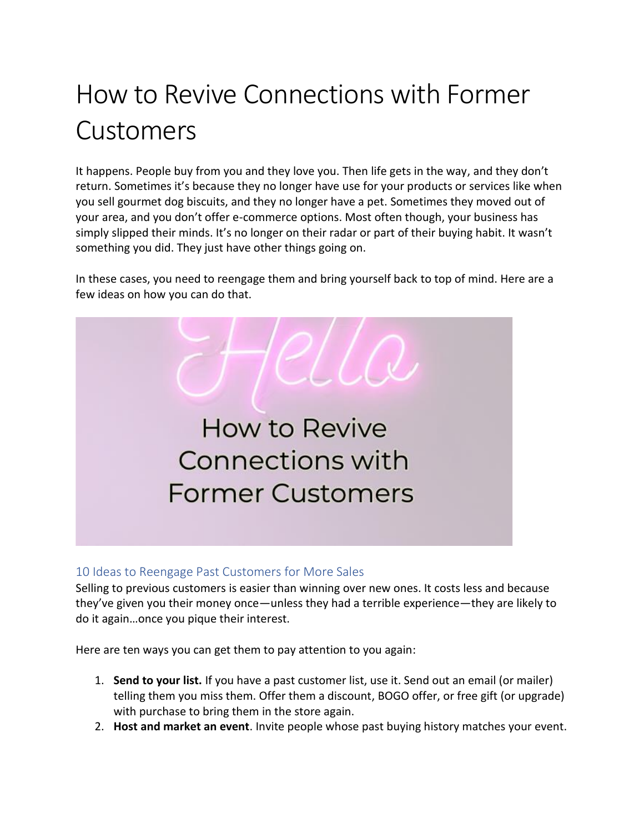## How to Revive Connections with Former Customers

It happens. People buy from you and they love you. Then life gets in the way, and they don't return. Sometimes it's because they no longer have use for your products or services like when you sell gourmet dog biscuits, and they no longer have a pet. Sometimes they moved out of your area, and you don't offer e-commerce options. Most often though, your business has simply slipped their minds. It's no longer on their radar or part of their buying habit. It wasn't something you did. They just have other things going on.

In these cases, you need to reengage them and bring yourself back to top of mind. Here are a few ideas on how you can do that.



## 10 Ideas to Reengage Past Customers for More Sales

Selling to previous customers is easier than winning over new ones. It costs less and because they've given you their money once—unless they had a terrible experience—they are likely to do it again…once you pique their interest.

Here are ten ways you can get them to pay attention to you again:

- 1. **Send to your list.** If you have a past customer list, use it. Send out an email (or mailer) telling them you miss them. Offer them a discount, BOGO offer, or free gift (or upgrade) with purchase to bring them in the store again.
- 2. **Host and market an event**. Invite people whose past buying history matches your event.